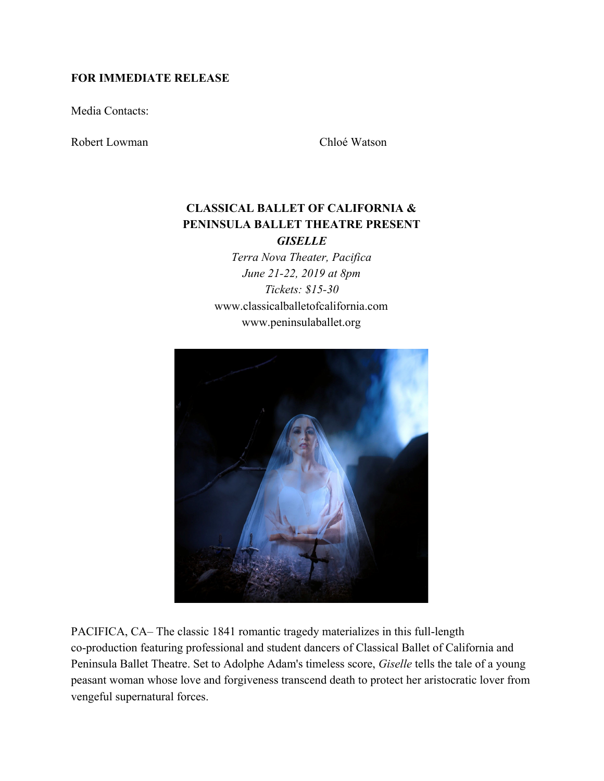# **FOR IMMEDIATE RELEASE**

Media Contacts:

Robert Lowman Chloé Watson

# **CLASSICAL BALLET OF CALIFORNIA & PENINSULA BALLET THEATRE PRESENT** *GISELLE*

*Terra Nova Theater, Pacifica June 21-22, 2019 at 8pm Tickets: \$15-30* www.classicalballetofcalifornia.com www.peninsulaballet.org



PACIFICA, CA– The classic 1841 romantic tragedy materializes in this full-length co-production featuring professional and student dancers of Classical Ballet of California and Peninsula Ballet Theatre. Set to Adolphe Adam's timeless score, *Giselle* tells the tale of a young peasant woman whose love and forgiveness transcend death to protect her aristocratic lover from vengeful supernatural forces.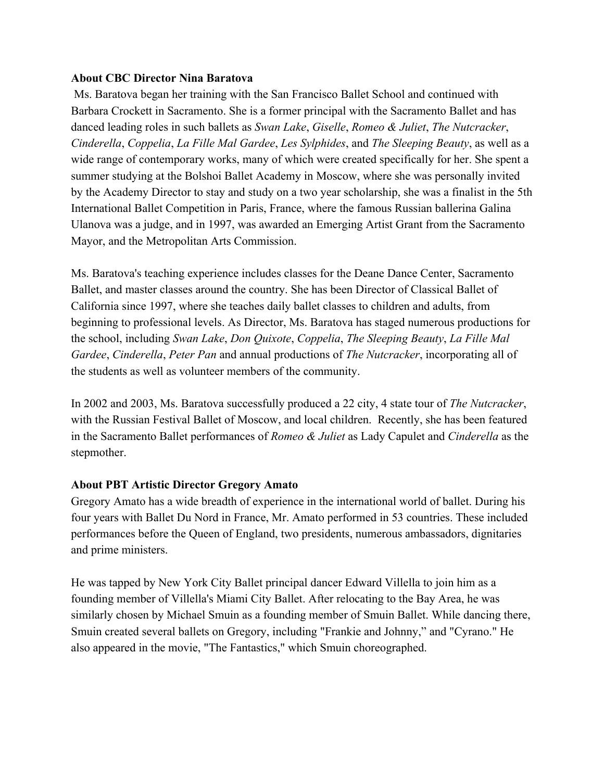### **About CBC Director Nina Baratova**

 Ms. Baratova began her training with the San Francisco Ballet School and continued with Barbara Crockett in Sacramento. She is a former principal with the Sacramento Ballet and has danced leading roles in such ballets as *Swan Lake*, *Giselle*, *Romeo & Juliet*, *The Nutcracker*, *Cinderella*, *Coppelia*, *La Fille Mal Gardee*, *Les Sylphides*, and *The Sleeping Beauty*, as well as a wide range of contemporary works, many of which were created specifically for her. She spent a summer studying at the Bolshoi Ballet Academy in Moscow, where she was personally invited by the Academy Director to stay and study on a two year scholarship, she was a finalist in the 5th International Ballet Competition in Paris, France, where the famous Russian ballerina Galina Ulanova was a judge, and in 1997, was awarded an Emerging Artist Grant from the Sacramento Mayor, and the Metropolitan Arts Commission.

Ms. Baratova's teaching experience includes classes for the Deane Dance Center, Sacramento Ballet, and master classes around the country. She has been Director of Classical Ballet of California since 1997, where she teaches daily ballet classes to children and adults, from beginning to professional levels. As Director, Ms. Baratova has staged numerous productions for the school, including *Swan Lake*, *Don Quixote*, *Coppelia*, *The Sleeping Beauty*, *La Fille Mal Gardee*, *Cinderella*, *Peter Pan* and annual productions of *The Nutcracker*, incorporating all of the students as well as volunteer members of the community.

In 2002 and 2003, Ms. Baratova successfully produced a 22 city, 4 state tour of *The Nutcracker*, with the Russian Festival Ballet of Moscow, and local children. Recently, she has been featured in the Sacramento Ballet performances of *Romeo & Juliet* as Lady Capulet and *Cinderella* as the stepmother.

# **About PBT Artistic Director Gregory Amato**

Gregory Amato has a wide breadth of experience in the international world of ballet. During his four years with Ballet Du Nord in France, Mr. Amato performed in 53 countries. These included performances before the Queen of England, two presidents, numerous ambassadors, dignitaries and prime ministers.

He was tapped by New York City Ballet principal dancer Edward Villella to join him as a founding member of Villella's Miami City Ballet. After relocating to the Bay Area, he was similarly chosen by Michael Smuin as a founding member of Smuin Ballet. While dancing there, Smuin created several ballets on Gregory, including "Frankie and Johnny," and "Cyrano." He also appeared in the movie, "The Fantastics," which Smuin choreographed.